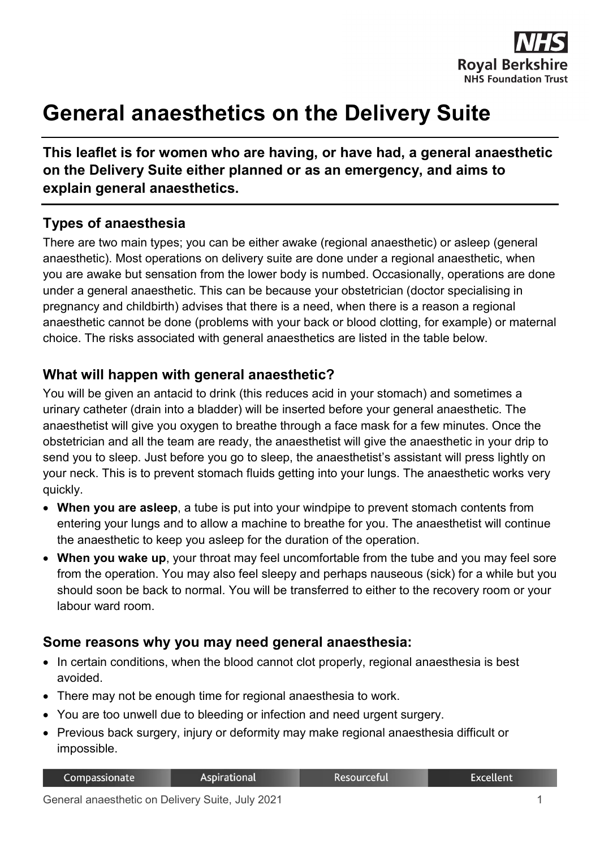

# **General anaesthetics on the Delivery Suite**

**This leaflet is for women who are having, or have had, a general anaesthetic on the Delivery Suite either planned or as an emergency, and aims to explain general anaesthetics.**

## **Types of anaesthesia**

There are two main types; you can be either awake (regional anaesthetic) or asleep (general anaesthetic). Most operations on delivery suite are done under a regional anaesthetic, when you are awake but sensation from the lower body is numbed. Occasionally, operations are done under a general anaesthetic. This can be because your obstetrician (doctor specialising in pregnancy and childbirth) advises that there is a need, when there is a reason a regional anaesthetic cannot be done (problems with your back or blood clotting, for example) or maternal choice. The risks associated with general anaesthetics are listed in the table below.

#### **What will happen with general anaesthetic?**

You will be given an antacid to drink (this reduces acid in your stomach) and sometimes a urinary catheter (drain into a bladder) will be inserted before your general anaesthetic. The anaesthetist will give you oxygen to breathe through a face mask for a few minutes. Once the obstetrician and all the team are ready, the anaesthetist will give the anaesthetic in your drip to send you to sleep. Just before you go to sleep, the anaesthetist's assistant will press lightly on your neck. This is to prevent stomach fluids getting into your lungs. The anaesthetic works very quickly.

- **When you are asleep**, a tube is put into your windpipe to prevent stomach contents from entering your lungs and to allow a machine to breathe for you. The anaesthetist will continue the anaesthetic to keep you asleep for the duration of the operation.
- **When you wake up**, your throat may feel uncomfortable from the tube and you may feel sore from the operation. You may also feel sleepy and perhaps nauseous (sick) for a while but you should soon be back to normal. You will be transferred to either to the recovery room or your labour ward room.

#### **Some reasons why you may need general anaesthesia:**

- In certain conditions, when the blood cannot clot properly, regional anaesthesia is best avoided.
- There may not be enough time for regional anaesthesia to work.
- You are too unwell due to bleeding or infection and need urgent surgery.
- Previous back surgery, injury or deformity may make regional anaesthesia difficult or impossible.

| Compassionate | <b>Aspirational</b> | Resourceful | <b>Excellent</b> |
|---------------|---------------------|-------------|------------------|
|---------------|---------------------|-------------|------------------|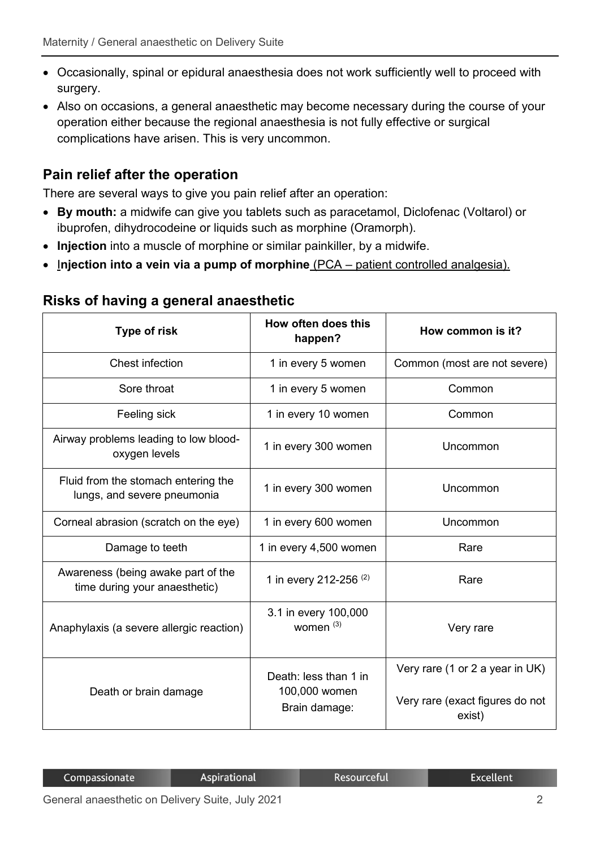- Occasionally, spinal or epidural anaesthesia does not work sufficiently well to proceed with surgery.
- Also on occasions, a general anaesthetic may become necessary during the course of your operation either because the regional anaesthesia is not fully effective or surgical complications have arisen. This is very uncommon.

## **Pain relief after the operation**

There are several ways to give you pain relief after an operation:

- **By mouth:** a midwife can give you tablets such as paracetamol, Diclofenac (Voltarol) or ibuprofen, dihydrocodeine or liquids such as morphine (Oramorph).
- **Injection** into a muscle of morphine or similar painkiller, by a midwife.
- I**njection into a vein via a pump of morphine** (PCA patient controlled analgesia).

| <b>Type of risk</b>                                                 | How often does this<br>happen?      | How common is it?                         |
|---------------------------------------------------------------------|-------------------------------------|-------------------------------------------|
| Chest infection                                                     | 1 in every 5 women                  | Common (most are not severe)              |
| Sore throat                                                         | 1 in every 5 women                  | Common                                    |
| Feeling sick                                                        | 1 in every 10 women                 | Common                                    |
| Airway problems leading to low blood-<br>oxygen levels              | 1 in every 300 women                | Uncommon                                  |
| Fluid from the stomach entering the<br>lungs, and severe pneumonia  | 1 in every 300 women                | Uncommon                                  |
| Corneal abrasion (scratch on the eye)                               | 1 in every 600 women                | Uncommon                                  |
| Damage to teeth                                                     | 1 in every 4,500 women              | Rare                                      |
| Awareness (being awake part of the<br>time during your anaesthetic) | 1 in every 212-256 <sup>(2)</sup>   | Rare                                      |
| Anaphylaxis (a severe allergic reaction)                            | 3.1 in every 100,000<br>women $(3)$ | Very rare                                 |
|                                                                     | Death: less than 1 in               | Very rare (1 or 2 a year in UK)           |
| Death or brain damage                                               | 100,000 women<br>Brain damage:      | Very rare (exact figures do not<br>exist) |

#### **Risks of having a general anaesthetic**